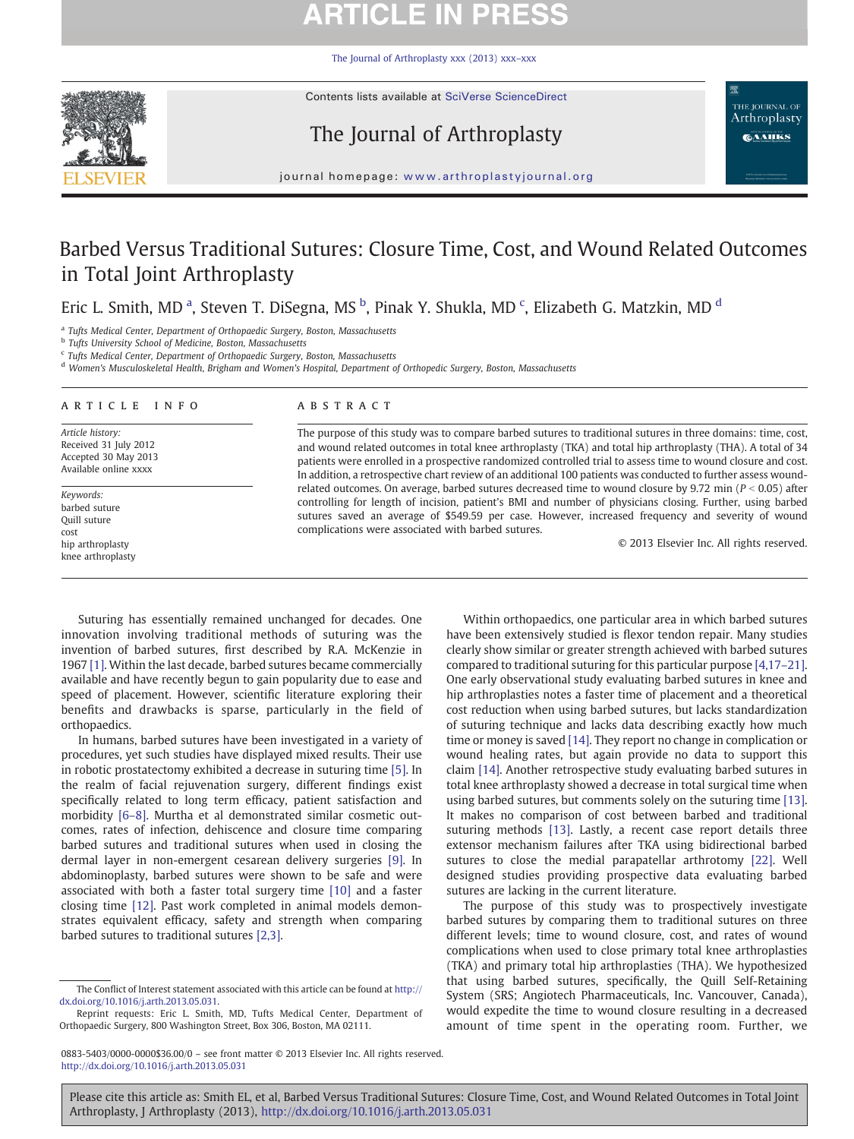# **ARTICLE IN PRESS**

[The Journal of Arthroplasty xxx \(2013\) xxx](http://dx.doi.org/10.1016/j.arth.2013.05.031)–xxx



Contents lists available at SciVerse ScienceDirect

## The Journal of Arthroplasty

THE JOURNAL OF Arthroplasty **CAAHKS** 

journal homepage: www.arthroplastyjournal.org

## Barbed Versus Traditional Sutures: Closure Time, Cost, and Wound Related Outcomes in Total Joint Arthroplasty

Eric L. Smith, MD<sup>a</sup>, Steven T. DiSegna, MS<sup>b</sup>, Pinak Y. Shukla, MD<sup>c</sup>, Elizabeth G. Matzkin, MD<sup>d</sup>

<sup>a</sup> Tufts Medical Center, Department of Orthopaedic Surgery, Boston, Massachusetts

 $^{\rm b}$  Tufts University School of Medicine, Boston, Massachusetts

<sup>c</sup> Tufts Medical Center, Department of Orthopaedic Surgery, Boston, Massachusetts

<sup>d</sup> Women's Musculoskeletal Health, Brigham and Women's Hospital, Department of Orthopedic Surgery, Boston, Massachusetts

#### article info abstract

Article history: Received 31 July 2012 Accepted 30 May 2013 Available online xxxx

Keywords: barbed suture Quill suture cost hip arthroplasty knee arthroplasty

The purpose of this study was to compare barbed sutures to traditional sutures in three domains: time, cost, and wound related outcomes in total knee arthroplasty (TKA) and total hip arthroplasty (THA). A total of 34 patients were enrolled in a prospective randomized controlled trial to assess time to wound closure and cost. In addition, a retrospective chart review of an additional 100 patients was conducted to further assess woundrelated outcomes. On average, barbed sutures decreased time to wound closure by 9.72 min ( $P < 0.05$ ) after controlling for length of incision, patient's BMI and number of physicians closing. Further, using barbed sutures saved an average of \$549.59 per case. However, increased frequency and severity of wound complications were associated with barbed sutures.

© 2013 Elsevier Inc. All rights reserved.

Suturing has essentially remained unchanged for decades. One innovation involving traditional methods of suturing was the invention of barbed sutures, first described by R.A. McKenzie in 1967 [\[1\].](#page-4-0) Within the last decade, barbed sutures became commercially available and have recently begun to gain popularity due to ease and speed of placement. However, scientific literature exploring their benefits and drawbacks is sparse, particularly in the field of orthopaedics.

In humans, barbed sutures have been investigated in a variety of procedures, yet such studies have displayed mixed results. Their use in robotic prostatectomy exhibited a decrease in suturing time [\[5\]](#page-4-0). In the realm of facial rejuvenation surgery, different findings exist specifically related to long term efficacy, patient satisfaction and morbidity [6–[8\].](#page-4-0) Murtha et al demonstrated similar cosmetic outcomes, rates of infection, dehiscence and closure time comparing barbed sutures and traditional sutures when used in closing the dermal layer in non-emergent cesarean delivery surgeries [\[9\]](#page-4-0). In abdominoplasty, barbed sutures were shown to be safe and were associated with both a faster total surgery time [\[10\]](#page-4-0) and a faster closing time [\[12\].](#page-4-0) Past work completed in animal models demonstrates equivalent efficacy, safety and strength when comparing barbed sutures to traditional sutures [\[2,3\]](#page-4-0).

Within orthopaedics, one particular area in which barbed sutures have been extensively studied is flexor tendon repair. Many studies clearly show similar or greater strength achieved with barbed sutures compared to traditional suturing for this particular purpose [\[4,17](#page-4-0)–21]. One early observational study evaluating barbed sutures in knee and hip arthroplasties notes a faster time of placement and a theoretical cost reduction when using barbed sutures, but lacks standardization of suturing technique and lacks data describing exactly how much time or money is saved [\[14\].](#page-4-0) They report no change in complication or wound healing rates, but again provide no data to support this claim [\[14\].](#page-4-0) Another retrospective study evaluating barbed sutures in total knee arthroplasty showed a decrease in total surgical time when using barbed sutures, but comments solely on the suturing time [\[13\].](#page-4-0) It makes no comparison of cost between barbed and traditional suturing methods [\[13\].](#page-4-0) Lastly, a recent case report details three extensor mechanism failures after TKA using bidirectional barbed sutures to close the medial parapatellar arthrotomy [\[22\]](#page-4-0). Well designed studies providing prospective data evaluating barbed sutures are lacking in the current literature.

The purpose of this study was to prospectively investigate barbed sutures by comparing them to traditional sutures on three different levels; time to wound closure, cost, and rates of wound complications when used to close primary total knee arthroplasties (TKA) and primary total hip arthroplasties (THA). We hypothesized that using barbed sutures, specifically, the Quill Self-Retaining System (SRS; Angiotech Pharmaceuticals, Inc. Vancouver, Canada), would expedite the time to wound closure resulting in a decreased amount of time spent in the operating room. Further, we

Please cite this article as: Smith EL, et al, Barbed Versus Traditional Sutures: Closure Time, Cost, and Wound Related Outcomes in Total Joint Arthroplasty, J Arthroplasty (2013), <http://dx.doi.org/10.1016/j.arth.2013.05.031>

The Conflict of Interest statement associated with this article can be found at [http://](http://dx.doi.org/10.1016/j.arth.2013.05.031) [dx.doi.org/10.1016/j.arth.2013.05.031](http://dx.doi.org/10.1016/j.arth.2013.05.031).

Reprint requests: Eric L. Smith, MD, Tufts Medical Center, Department of Orthopaedic Surgery, 800 Washington Street, Box 306, Boston, MA 02111.

<sup>0883-5403/0000-0000\$36.00/0</sup> – see front matter © 2013 Elsevier Inc. All rights reserved. <http://dx.doi.org/10.1016/j.arth.2013.05.031>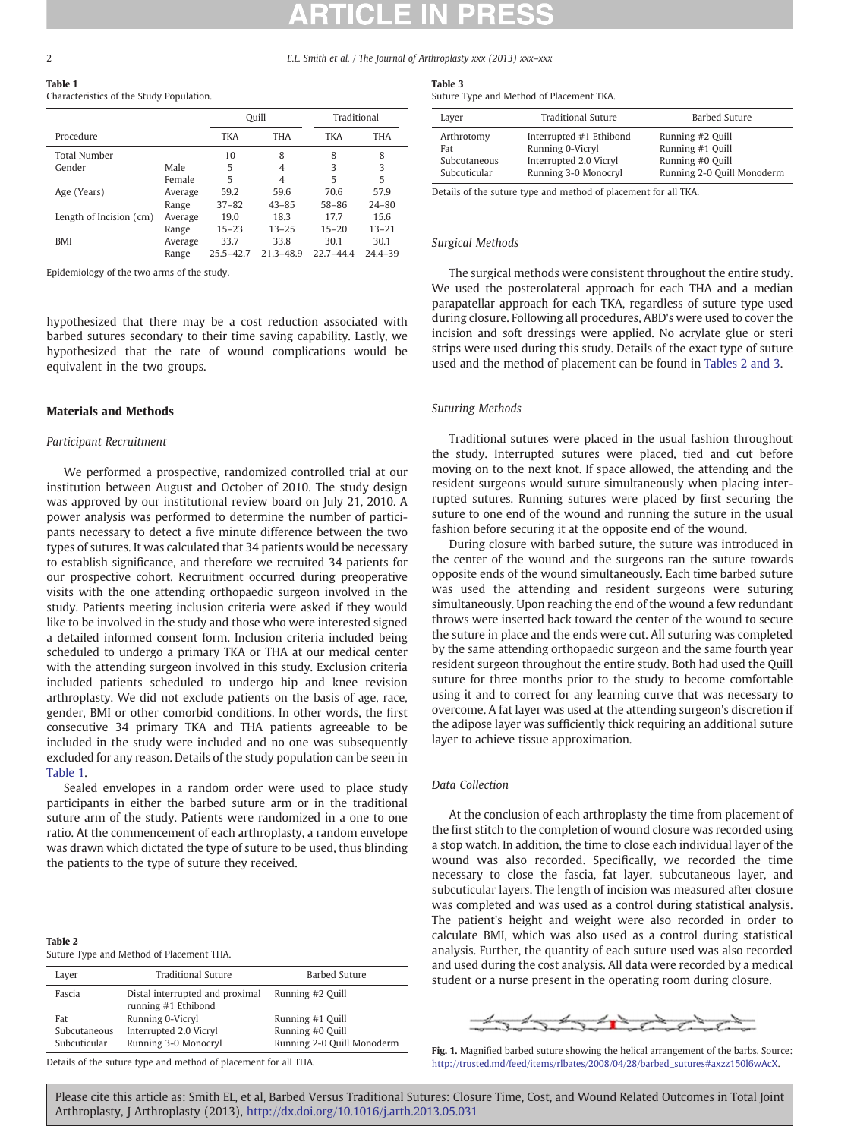<span id="page-1-0"></span>2 E.L. Smith et al. / The Journal of Arthroplasty xxx (2013) xxx–xxx

Table 1

### Characteristics of the Study Population.

|                         |         | Quill         |               | Traditional   |             |
|-------------------------|---------|---------------|---------------|---------------|-------------|
| Procedure               |         | <b>TKA</b>    | <b>THA</b>    | <b>TKA</b>    | THA         |
| <b>Total Number</b>     |         | 10            | 8             | 8             | 8           |
| Gender                  | Male    | 5             | 4             | 3             | 3           |
|                         | Female  | 5             | 4             | 5             | 5           |
| Age (Years)             | Average | 59.2          | 59.6          | 70.6          | 57.9        |
|                         | Range   | $37 - 82$     | $43 - 85$     | 58-86         | $24 - 80$   |
| Length of Incision (cm) | Average | 19.0          | 18.3          | 17.7          | 15.6        |
|                         | Range   | $15 - 23$     | $13 - 25$     | $15 - 20$     | $13 - 21$   |
| BMI                     | Average | 33.7          | 33.8          | 30.1          | 30.1        |
|                         | Range   | $25.5 - 42.7$ | $21.3 - 48.9$ | $22.7 - 44.4$ | $24.4 - 39$ |

Epidemiology of the two arms of the study.

hypothesized that there may be a cost reduction associated with barbed sutures secondary to their time saving capability. Lastly, we hypothesized that the rate of wound complications would be equivalent in the two groups.

#### Materials and Methods

#### Participant Recruitment

We performed a prospective, randomized controlled trial at our institution between August and October of 2010. The study design was approved by our institutional review board on July 21, 2010. A power analysis was performed to determine the number of participants necessary to detect a five minute difference between the two types of sutures. It was calculated that 34 patients would be necessary to establish significance, and therefore we recruited 34 patients for our prospective cohort. Recruitment occurred during preoperative visits with the one attending orthopaedic surgeon involved in the study. Patients meeting inclusion criteria were asked if they would like to be involved in the study and those who were interested signed a detailed informed consent form. Inclusion criteria included being scheduled to undergo a primary TKA or THA at our medical center with the attending surgeon involved in this study. Exclusion criteria included patients scheduled to undergo hip and knee revision arthroplasty. We did not exclude patients on the basis of age, race, gender, BMI or other comorbid conditions. In other words, the first consecutive 34 primary TKA and THA patients agreeable to be included in the study were included and no one was subsequently excluded for any reason. Details of the study population can be seen in Table 1.

Sealed envelopes in a random order were used to place study participants in either the barbed suture arm or in the traditional suture arm of the study. Patients were randomized in a one to one ratio. At the commencement of each arthroplasty, a random envelope was drawn which dictated the type of suture to be used, thus blinding the patients to the type of suture they received.

| Table 2                                  |  |
|------------------------------------------|--|
| Suture Type and Method of Placement THA. |  |

| Layer                                     | Traditional Suture                                     | Barbed Suture              |  |  |  |
|-------------------------------------------|--------------------------------------------------------|----------------------------|--|--|--|
| Fascia                                    | Distal interrupted and proximal<br>running #1 Ethibond | Running #2 Quill           |  |  |  |
| Fat                                       | Running 0-Vicryl                                       | Running #1 Quill           |  |  |  |
| Subcutaneous                              | Interrupted 2.0 Vicryl                                 | Running #0 Quill           |  |  |  |
| Subcuticular                              | Running 3-0 Monocryl                                   | Running 2-0 Quill Monoderm |  |  |  |
| $\sim$ $\sim$ $\sim$ $\sim$ $\sim$ $\sim$ |                                                        |                            |  |  |  |

Details of the suture type and method of placement for all THA.

### Table 3

Suture Type and Method of Placement TKA.

| Layer                                             | <b>Traditional Suture</b>                                                                     | Barbed Suture                                                                          |
|---------------------------------------------------|-----------------------------------------------------------------------------------------------|----------------------------------------------------------------------------------------|
| Arthrotomy<br>Fat<br>Subcutaneous<br>Subcuticular | Interrupted #1 Ethibond<br>Running 0-Vicryl<br>Interrupted 2.0 Vicryl<br>Running 3-0 Monocryl | Running #2 Quill<br>Running #1 Quill<br>Running #0 Quill<br>Running 2-0 Quill Monoderm |

Details of the suture type and method of placement for all TKA.

#### Surgical Methods

The surgical methods were consistent throughout the entire study. We used the posterolateral approach for each THA and a median parapatellar approach for each TKA, regardless of suture type used during closure. Following all procedures, ABD's were used to cover the incision and soft dressings were applied. No acrylate glue or steri strips were used during this study. Details of the exact type of suture used and the method of placement can be found in Tables 2 and 3.

#### Suturing Methods

Traditional sutures were placed in the usual fashion throughout the study. Interrupted sutures were placed, tied and cut before moving on to the next knot. If space allowed, the attending and the resident surgeons would suture simultaneously when placing interrupted sutures. Running sutures were placed by first securing the suture to one end of the wound and running the suture in the usual fashion before securing it at the opposite end of the wound.

During closure with barbed suture, the suture was introduced in the center of the wound and the surgeons ran the suture towards opposite ends of the wound simultaneously. Each time barbed suture was used the attending and resident surgeons were suturing simultaneously. Upon reaching the end of the wound a few redundant throws were inserted back toward the center of the wound to secure the suture in place and the ends were cut. All suturing was completed by the same attending orthopaedic surgeon and the same fourth year resident surgeon throughout the entire study. Both had used the Quill suture for three months prior to the study to become comfortable using it and to correct for any learning curve that was necessary to overcome. A fat layer was used at the attending surgeon's discretion if the adipose layer was sufficiently thick requiring an additional suture layer to achieve tissue approximation.

#### Data Collection

At the conclusion of each arthroplasty the time from placement of the first stitch to the completion of wound closure was recorded using a stop watch. In addition, the time to close each individual layer of the wound was also recorded. Specifically, we recorded the time necessary to close the fascia, fat layer, subcutaneous layer, and subcuticular layers. The length of incision was measured after closure was completed and was used as a control during statistical analysis. The patient's height and weight were also recorded in order to calculate BMI, which was also used as a control during statistical analysis. Further, the quantity of each suture used was also recorded and used during the cost analysis. All data were recorded by a medical student or a nurse present in the operating room during closure.



Fig. 1. Magnified barbed suture showing the helical arrangement of the barbs. Source: [http://trusted.md/feed/items/rlbates/2008/04/28/barbed\\_sutures#axzz150l6wAcX](http://trusted.md/feed/items/rlbates/2008/04/28/barbed_sutures#axzz150l6wAcX).

Please cite this article as: Smith EL, et al, Barbed Versus Traditional Sutures: Closure Time, Cost, and Wound Related Outcomes in Total Joint Arthroplasty, J Arthroplasty (2013), <http://dx.doi.org/10.1016/j.arth.2013.05.031>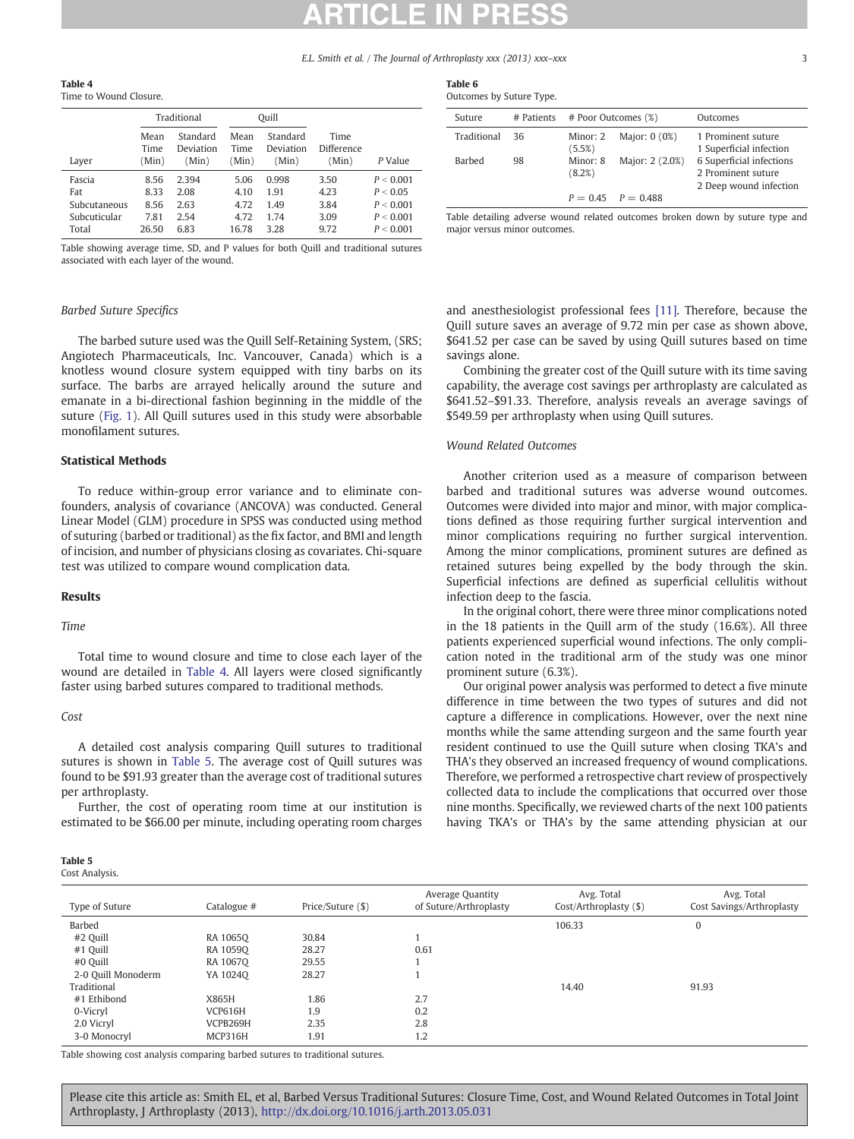E.L. Smith et al. / The Journal of Arthroplasty xxx (2013) xxx–xxx 33

<span id="page-2-0"></span>Table 4

| Time to Wound Closure. |                       |                                |                       |                                |                             |           |  |
|------------------------|-----------------------|--------------------------------|-----------------------|--------------------------------|-----------------------------|-----------|--|
|                        |                       | Traditional                    |                       | Ouill                          |                             |           |  |
| Layer                  | Mean<br>Time<br>(Min) | Standard<br>Deviation<br>(Min) | Mean<br>Time<br>(Min) | Standard<br>Deviation<br>(Min) | Time<br>Difference<br>(Min) | P Value   |  |
| Fascia                 | 8.56                  | 2.394                          | 5.06                  | 0.998                          | 3.50                        | P < 0.001 |  |
| Fat                    | 8.33                  | 2.08                           | 4.10                  | 1.91                           | 4.23                        | P < 0.05  |  |
| Subcutaneous           | 8.56                  | 2.63                           | 4.72                  | 1.49                           | 3.84                        | P < 0.001 |  |
| Subcuticular           | 7.81                  | 2.54                           | 4.72                  | 1.74                           | 3.09                        | P < 0.001 |  |
| Total                  | 26.50                 | 6.83                           | 16.78                 | 3.28                           | 9.72                        | P < 0.001 |  |

Table showing average time, SD, and P values for both Quill and traditional sutures associated with each layer of the wound.

#### Barbed Suture Specifics

The barbed suture used was the Quill Self-Retaining System, (SRS; Angiotech Pharmaceuticals, Inc. Vancouver, Canada) which is a knotless wound closure system equipped with tiny barbs on its surface. The barbs are arrayed helically around the suture and emanate in a bi-directional fashion beginning in the middle of the suture [\(Fig. 1](#page-1-0)). All Quill sutures used in this study were absorbable monofilament sutures.

### Statistical Methods

To reduce within-group error variance and to eliminate confounders, analysis of covariance (ANCOVA) was conducted. General Linear Model (GLM) procedure in SPSS was conducted using method of suturing (barbed or traditional) as the fix factor, and BMI and length of incision, and number of physicians closing as covariates. Chi-square test was utilized to compare wound complication data.

### Results

#### Time

Total time to wound closure and time to close each layer of the wound are detailed in Table 4. All layers were closed significantly faster using barbed sutures compared to traditional methods.

#### Cost

A detailed cost analysis comparing Quill sutures to traditional sutures is shown in Table 5. The average cost of Quill sutures was found to be \$91.93 greater than the average cost of traditional sutures per arthroplasty.

Further, the cost of operating room time at our institution is estimated to be \$66.00 per minute, including operating room charges

### Table 5

Cost Analysis.

#### Type of Suture Catalogue # Price/Suture (\$) Average Quantity of Suture/Arthroplasty Avg. Total Cost/Arthroplasty (\$) Avg. Total Cost Savings/Arthroplasty Barbed 106.33 0 #2 Quill RA 1065Q 30.84 1 #1 Quill RA 1059Q 28.27 0.61 #0 Quill RA 1067Q 29.55 1 2-0 Quill Monoderm YA 1024Q 28.27 1 Traditional 14.40 91.93 #1 Ethibond X865H 1.86 2.7 0-Vicryl VCP616H 1.9 0.2 2.0 Vicryl VCPB269H 2.35 2.8 3-0 Monocryl 6 MCP316H 1.91 1.2

Table showing cost analysis comparing barbed sutures to traditional sutures.

Table 6 Outcomes by Suture Type.

| outcomes by sutting Type. |            |                     |                        |                                                                          |
|---------------------------|------------|---------------------|------------------------|--------------------------------------------------------------------------|
| Suture                    | # Patients | # Poor Outcomes (%) |                        | Outcomes                                                                 |
| Traditional               | -36        | Minor: 2<br>(5.5%)  | Major: 0 (0%)          | 1 Prominent suture<br>1 Superficial infection                            |
| Barbed                    | 98         | Minor: 8<br>(8.2%)  | Major: 2 (2.0%)        | 6 Superficial infections<br>2 Prominent suture<br>2 Deep wound infection |
|                           |            |                     | $P = 0.45$ $P = 0.488$ |                                                                          |

Table detailing adverse wound related outcomes broken down by suture type and major versus minor outcomes.

and anesthesiologist professional fees [\[11\].](#page-4-0) Therefore, because the Quill suture saves an average of 9.72 min per case as shown above, \$641.52 per case can be saved by using Quill sutures based on time savings alone.

Combining the greater cost of the Quill suture with its time saving capability, the average cost savings per arthroplasty are calculated as \$641.52–\$91.33. Therefore, analysis reveals an average savings of \$549.59 per arthroplasty when using Quill sutures.

### Wound Related Outcomes

Another criterion used as a measure of comparison between barbed and traditional sutures was adverse wound outcomes. Outcomes were divided into major and minor, with major complications defined as those requiring further surgical intervention and minor complications requiring no further surgical intervention. Among the minor complications, prominent sutures are defined as retained sutures being expelled by the body through the skin. Superficial infections are defined as superficial cellulitis without infection deep to the fascia.

In the original cohort, there were three minor complications noted in the 18 patients in the Quill arm of the study (16.6%). All three patients experienced superficial wound infections. The only complication noted in the traditional arm of the study was one minor prominent suture (6.3%).

Our original power analysis was performed to detect a five minute difference in time between the two types of sutures and did not capture a difference in complications. However, over the next nine months while the same attending surgeon and the same fourth year resident continued to use the Quill suture when closing TKA's and THA's they observed an increased frequency of wound complications. Therefore, we performed a retrospective chart review of prospectively collected data to include the complications that occurred over those nine months. Specifically, we reviewed charts of the next 100 patients having TKA's or THA's by the same attending physician at our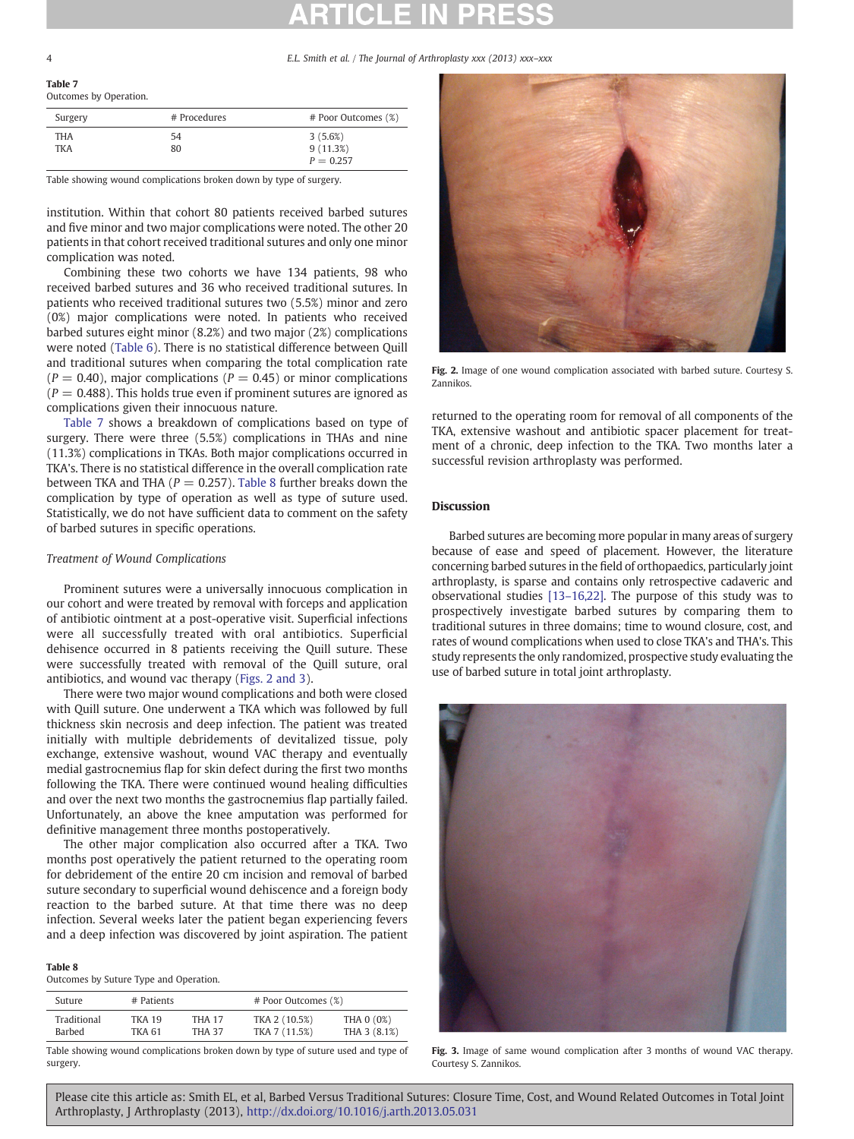#### 4 E.L. Smith et al. / The Journal of Arthroplasty xxx (2013) xxx–xxx

Table 7

| .                     |  |
|-----------------------|--|
| Outcomes by Operation |  |

| Surgery | # Procedures | # Poor Outcomes (%) |
|---------|--------------|---------------------|
| THA     | 54           | 3(5.6%)             |
| TKA     | 80           | 9(11.3%)            |
|         |              | $P = 0.257$         |

Table showing wound complications broken down by type of surgery.

institution. Within that cohort 80 patients received barbed sutures and five minor and two major complications were noted. The other 20 patients in that cohort received traditional sutures and only one minor complication was noted.

Combining these two cohorts we have 134 patients, 98 who received barbed sutures and 36 who received traditional sutures. In patients who received traditional sutures two (5.5%) minor and zero (0%) major complications were noted. In patients who received barbed sutures eight minor (8.2%) and two major (2%) complications were noted [\(Table 6](#page-2-0)). There is no statistical difference between Quill and traditional sutures when comparing the total complication rate  $(P = 0.40)$ , major complications  $(P = 0.45)$  or minor complications  $(P = 0.488)$ . This holds true even if prominent sutures are ignored as complications given their innocuous nature.

Table 7 shows a breakdown of complications based on type of surgery. There were three (5.5%) complications in THAs and nine (11.3%) complications in TKAs. Both major complications occurred in TKA's. There is no statistical difference in the overall complication rate between TKA and THA ( $P = 0.257$ ). Table 8 further breaks down the complication by type of operation as well as type of suture used. Statistically, we do not have sufficient data to comment on the safety of barbed sutures in specific operations.

#### Treatment of Wound Complications

Prominent sutures were a universally innocuous complication in our cohort and were treated by removal with forceps and application of antibiotic ointment at a post-operative visit. Superficial infections were all successfully treated with oral antibiotics. Superficial dehisence occurred in 8 patients receiving the Quill suture. These were successfully treated with removal of the Quill suture, oral antibiotics, and wound vac therapy (Figs. 2 and 3).

There were two major wound complications and both were closed with Quill suture. One underwent a TKA which was followed by full thickness skin necrosis and deep infection. The patient was treated initially with multiple debridements of devitalized tissue, poly exchange, extensive washout, wound VAC therapy and eventually medial gastrocnemius flap for skin defect during the first two months following the TKA. There were continued wound healing difficulties and over the next two months the gastrocnemius flap partially failed. Unfortunately, an above the knee amputation was performed for definitive management three months postoperatively.

The other major complication also occurred after a TKA. Two months post operatively the patient returned to the operating room for debridement of the entire 20 cm incision and removal of barbed suture secondary to superficial wound dehiscence and a foreign body reaction to the barbed suture. At that time there was no deep infection. Several weeks later the patient began experiencing fevers and a deep infection was discovered by joint aspiration. The patient

#### Table 8

Outcomes by Suture Type and Operation.

| <b>Suture</b>         | # Patients              |                                |                                | # Poor Outcomes (%)        |  |  |
|-----------------------|-------------------------|--------------------------------|--------------------------------|----------------------------|--|--|
| Traditional<br>Barbed | <b>TKA 19</b><br>TKA 61 | <b>THA 17</b><br><b>THA 37</b> | TKA 2 (10.5%)<br>TKA 7 (11.5%) | THA 0 (0%)<br>THA 3 (8.1%) |  |  |
|                       |                         |                                |                                |                            |  |  |

Table showing wound complications broken down by type of suture used and type of surgery.



Fig. 2. Image of one wound complication associated with barbed suture. Courtesy S. Zannikos.

returned to the operating room for removal of all components of the TKA, extensive washout and antibiotic spacer placement for treatment of a chronic, deep infection to the TKA. Two months later a successful revision arthroplasty was performed.

### Discussion

Barbed sutures are becoming more popular in many areas of surgery because of ease and speed of placement. However, the literature concerning barbed sutures in the field of orthopaedics, particularly joint arthroplasty, is sparse and contains only retrospective cadaveric and observational studies [13–[16,22\].](#page-4-0) The purpose of this study was to prospectively investigate barbed sutures by comparing them to traditional sutures in three domains; time to wound closure, cost, and rates of wound complications when used to close TKA's and THA's. This study represents the only randomized, prospective study evaluating the use of barbed suture in total joint arthroplasty.



Fig. 3. Image of same wound complication after 3 months of wound VAC therapy. Courtesy S. Zannikos.

Please cite this article as: Smith EL, et al, Barbed Versus Traditional Sutures: Closure Time, Cost, and Wound Related Outcomes in Total Joint Arthroplasty, J Arthroplasty (2013), <http://dx.doi.org/10.1016/j.arth.2013.05.031>